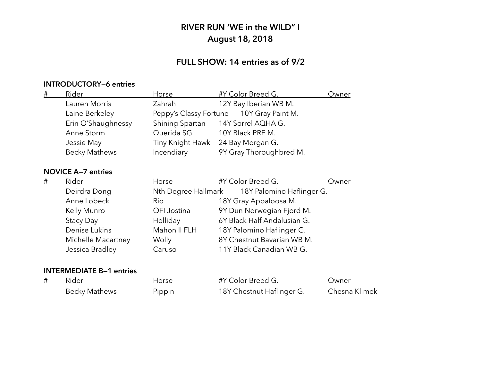## **FULL SHOW: 14 entries as of 9/2**

### **INTRODUCTORY—6 entries**

| # | Rider                | Horse            | #Y Color Breed G.                        | Owner |
|---|----------------------|------------------|------------------------------------------|-------|
|   | Lauren Morris        | Zahrah           | 12Y Bay Iberian WB M.                    |       |
|   | Laine Berkeley       |                  | Peppy's Classy Fortune 10Y Gray Paint M. |       |
|   | Erin O'Shaughnessy   |                  | Shining Spartan 14Y Sorrel AQHA G.       |       |
|   | Anne Storm           | Querida SG       | 10Y Black PRE M.                         |       |
|   | Jessie May           | Tiny Knight Hawk | 24 Bay Morgan G.                         |       |
|   | <b>Becky Mathews</b> | Incendiary       | 9Y Gray Thoroughbred M.                  |       |

### **NOVICE A—7 entries**

| Horse  |                                                                                                      |                                         | Owner                                                                                                                                                                                                                                          |
|--------|------------------------------------------------------------------------------------------------------|-----------------------------------------|------------------------------------------------------------------------------------------------------------------------------------------------------------------------------------------------------------------------------------------------|
|        |                                                                                                      |                                         |                                                                                                                                                                                                                                                |
| Rio    |                                                                                                      |                                         |                                                                                                                                                                                                                                                |
|        |                                                                                                      |                                         |                                                                                                                                                                                                                                                |
|        |                                                                                                      |                                         |                                                                                                                                                                                                                                                |
|        |                                                                                                      |                                         |                                                                                                                                                                                                                                                |
| Wolly  |                                                                                                      |                                         |                                                                                                                                                                                                                                                |
| Caruso |                                                                                                      |                                         |                                                                                                                                                                                                                                                |
|        | Deirdra Dong<br>Anne Lobeck<br>Kelly Munro<br>Denise Lukins<br>Michelle Macartney<br>Jessica Bradley | OFI Jostina<br>Holliday<br>Mahon II FLH | #Y Color Breed G.<br>Nth Degree Hallmark 18Y Palomino Haflinger G.<br>18Y Gray Appaloosa M.<br>9Y Dun Norwegian Fjord M.<br>6Y Black Half Andalusian G.<br>18Y Palomino Haflinger G.<br>8Y Chestnut Bavarian WB M.<br>11Y Black Canadian WB G. |

| Rider         | Horse  | #Y Color Breed G.         | Jwner         |
|---------------|--------|---------------------------|---------------|
| Becky Mathews | Pippin | 18Y Chestnut Haflinger G. | Chesna Klimek |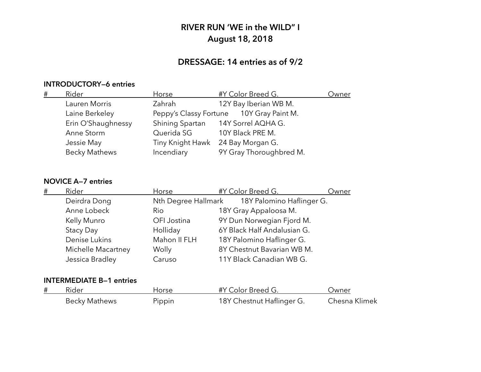## **DRESSAGE: 14 entries as of 9/2**

### **INTRODUCTORY—6 entries**

| # | Rider                | Horse            | #Y Color Breed G.                        | Owner |
|---|----------------------|------------------|------------------------------------------|-------|
|   | Lauren Morris        | Zahrah           | 12Y Bay Iberian WB M.                    |       |
|   | Laine Berkeley       |                  | Peppy's Classy Fortune 10Y Gray Paint M. |       |
|   | Erin O'Shaughnessy   |                  | Shining Spartan 14Y Sorrel AQHA G.       |       |
|   | Anne Storm           | Querida SG       | 10Y Black PRE M.                         |       |
|   | Jessie May           | Tiny Knight Hawk | 24 Bay Morgan G.                         |       |
|   | <b>Becky Mathews</b> | Incendiary       | 9Y Gray Thoroughbred M.                  |       |
|   |                      |                  |                                          |       |

### **NOVICE A—7 entries**

| # | Rider              | Horse        | #Y Color Breed G.                             | Owner |
|---|--------------------|--------------|-----------------------------------------------|-------|
|   | Deirdra Dong       |              | Nth Degree Hallmark 18Y Palomino Haflinger G. |       |
|   | Anne Lobeck        | <b>Rio</b>   | 18Y Gray Appaloosa M.                         |       |
|   | Kelly Munro        | OFI Jostina  | 9Y Dun Norwegian Fjord M.                     |       |
|   | Stacy Day          | Holliday     | 6Y Black Half Andalusian G.                   |       |
|   | Denise Lukins      | Mahon II FLH | 18Y Palomino Haflinger G.                     |       |
|   | Michelle Macartney | Wolly        | 8Y Chestnut Bavarian WB M.                    |       |
|   | Jessica Bradley    | Caruso       | 11Y Black Canadian WB G.                      |       |

| # | Rider                | Horse  | #Y Color Breed G.         | Jwner         |
|---|----------------------|--------|---------------------------|---------------|
|   | <b>Becky Mathews</b> | Pippin | 18Y Chestnut Haflinger G. | Chesna Klimek |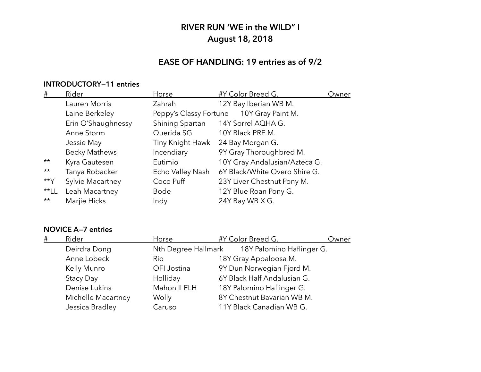## **EASE OF HANDLING: 19 entries as of 9/2**

### **INTRODUCTORY—11 entries**

| #            | Rider                | Horse                  | #Y Color Breed G.             | Owner |
|--------------|----------------------|------------------------|-------------------------------|-------|
|              | Lauren Morris        | Zahrah                 | 12Y Bay Iberian WB M.         |       |
|              | Laine Berkeley       | Peppy's Classy Fortune | 10Y Gray Paint M.             |       |
|              | Erin O'Shaughnessy   | Shining Spartan        | 14Y Sorrel AQHA G.            |       |
|              | Anne Storm           | Querida SG             | 10Y Black PRE M.              |       |
|              | Jessie May           | Tiny Knight Hawk       | 24 Bay Morgan G.              |       |
|              | <b>Becky Mathews</b> | Incendiary             | 9Y Gray Thoroughbred M.       |       |
| $\star\star$ | Kyra Gautesen        | Eutimio                | 10Y Gray Andalusian/Azteca G. |       |
| $\star\star$ | Tanya Robacker       | Echo Valley Nash       | 6Y Black/White Overo Shire G. |       |
| $**Y$        | Sylvie Macartney     | Coco Puff              | 23Y Liver Chestnut Pony M.    |       |
| $*$ LL       | Leah Macartney       | Bode                   | 12Y Blue Roan Pony G.         |       |
| $\star\star$ | Marjie Hicks         | Indy                   | 24Y Bay WB X G.               |       |
|              |                      |                        |                               |       |

#### **NOVICE A—7 entries**

| # | Rider              | Horse        | #Y Color Breed G.                             | Owner |
|---|--------------------|--------------|-----------------------------------------------|-------|
|   | Deirdra Dong       |              | Nth Degree Hallmark 18Y Palomino Haflinger G. |       |
|   | Anne Lobeck        | Rio          | 18Y Gray Appaloosa M.                         |       |
|   | Kelly Munro        | OFI Jostina  | 9Y Dun Norwegian Fjord M.                     |       |
|   | Stacy Day          | Holliday     | 6Y Black Half Andalusian G.                   |       |
|   | Denise Lukins      | Mahon II FLH | 18Y Palomino Haflinger G.                     |       |
|   | Michelle Macartney | Wolly        | 8Y Chestnut Bavarian WB M.                    |       |
|   | Jessica Bradley    | Caruso       | 11Y Black Canadian WB G.                      |       |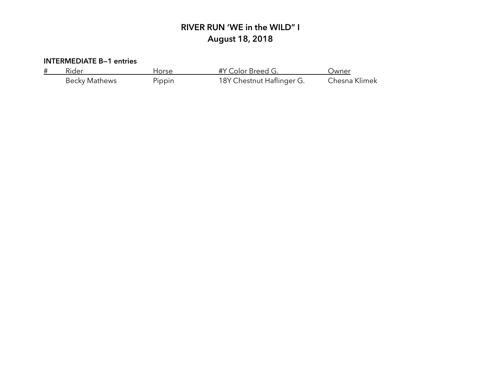| Rider         | Horse  | #Y Color Breed G.         | Jwner         |
|---------------|--------|---------------------------|---------------|
| Becky Mathews | Pippin | 18Y Chestnut Haflinger G. | Chesna Klimek |